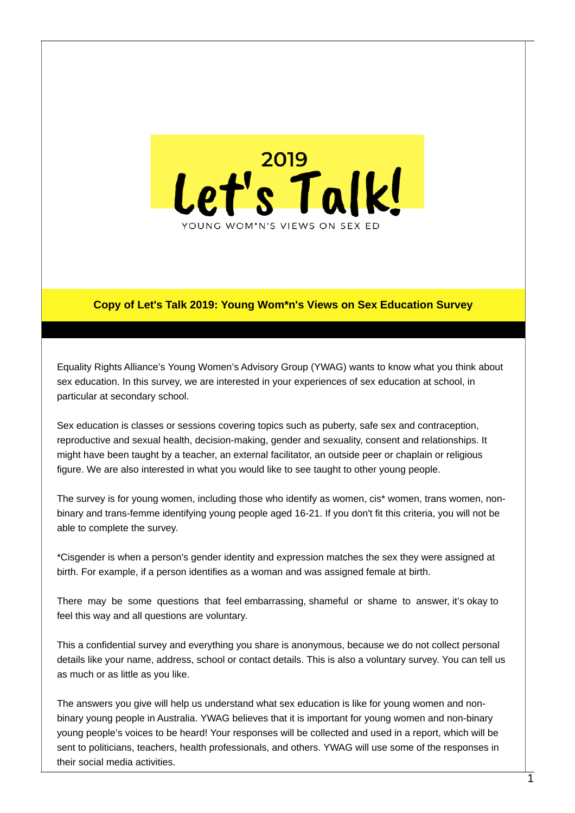

# **Copy of Let's Talk 2019: Young Wom\*n's Views on Sex Education Survey**

Equality Rights Alliance's Young Women's Advisory Group (YWAG) wants to know what you think about sex education. In this survey, we are interested in your experiences of sex education at school, in particular at secondary school.

Sex education is classes or sessions covering topics such as puberty, safe sex and contraception, reproductive and sexual health, decision-making, gender and sexuality, consent and relationships. It might have been taught by a teacher, an external facilitator, an outside peer or chaplain or religious figure. We are also interested in what you would like to see taught to other young people.

The survey is for young women, including those who identify as women, cis\* women, trans women, nonbinary and trans-femme identifying young people aged 16-21. If you don't fit this criteria, you will not be able to complete the survey.

\*Cisgender is when a person's gender identity and expression matches the sex they were assigned at birth. For example, if a person identifies as a woman and was assigned female at birth.

There may be some questions that feel embarrassing, shameful or shame to answer, it's okay to feel this way and all questions are voluntary.

This a confidential survey and everything you share is anonymous, because we do not collect personal details like your name, address, school or contact details. This is also a voluntary survey. You can tell us as much or as little as you like.

The answers you give will help us understand what sex education is like for young women and nonbinary young people in Australia. YWAG believes that it is important for young women and non-binary young people's voices to be heard! Your responses will be collected and used in a report, which will be sent to politicians, teachers, health professionals, and others. YWAG will use some of the responses in their social media activities.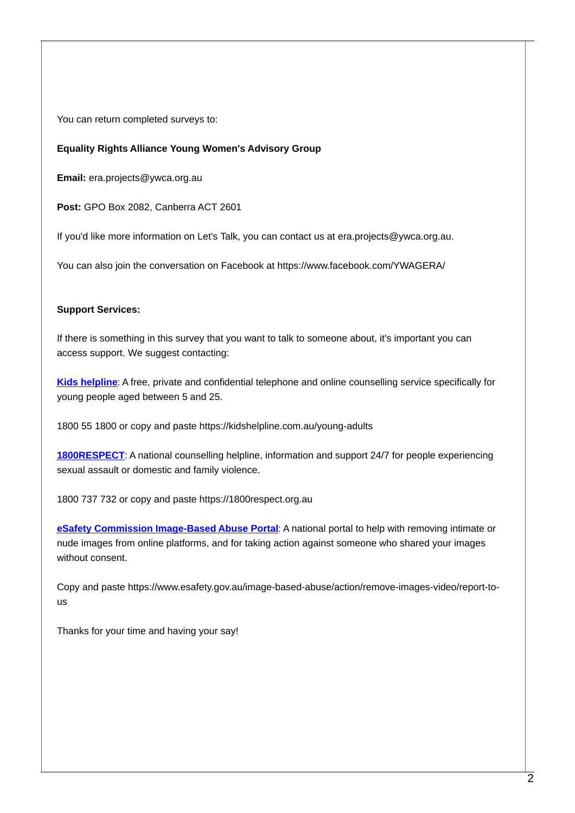You can return completed surveys to:

## **Equality Rights Alliance Young Women's Advisory Group**

**Email:** era.projects@ywca.org.au

**Post:** GPO Box 2082, Canberra ACT 2601

If you'd like more information on Let's Talk, you can contact us at era.projects@ywca.org.au.

You can also join the conversation on Facebook at https://www.facebook.com/YWAGERA/

### **Support Services:**

If there is something in this survey that you want to talk to someone about, it's important you can access support. We suggest contacting:

**Kids [helpline](https://kidshelpline.com.au/young-adults)**: A free, private and confidential telephone and online counselling service specifically for young people aged between 5 and 25.

1800 55 1800 or copy and paste https://kidshelpline.com.au/young-adults

**[1800RESPECT](https://kidshelpline.com.au/young-adults)**: A national counselling helpline, information and support 24/7 for people experiencing sexual assault or domestic and family violence.

1800 737 732 or copy and paste https://1800respect.org.au

**eSafety Commission [Image-Based](https://www.esafety.gov.au/image-based-abuse/action/remove-images-video/report-to-us) Abuse Portal**: A national portal to help with removing intimate or nude images from online platforms, and for taking action against someone who shared your images without consent.

Copy and paste https://www.esafety.gov.au/image-based-abuse/action/remove-images-video/report-tous

Thanks for your time and having your say!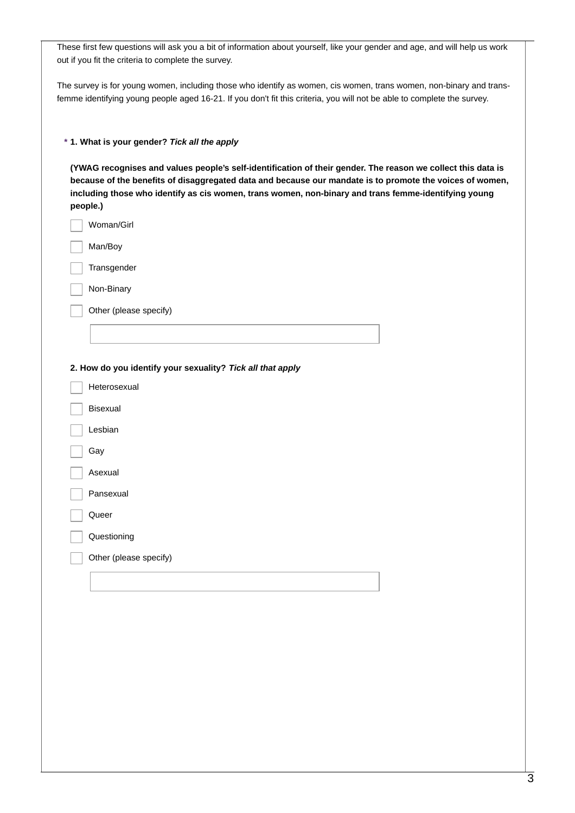| These first few questions will ask you a bit of information about yourself, like your gender and age, and will help us work<br>out if you fit the criteria to complete the survey.                                                                                                                                                           |
|----------------------------------------------------------------------------------------------------------------------------------------------------------------------------------------------------------------------------------------------------------------------------------------------------------------------------------------------|
| The survey is for young women, including those who identify as women, cis women, trans women, non-binary and trans-<br>femme identifying young people aged 16-21. If you don't fit this criteria, you will not be able to complete the survey.                                                                                               |
| * 1. What is your gender? Tick all the apply                                                                                                                                                                                                                                                                                                 |
| (YWAG recognises and values people's self-identification of their gender. The reason we collect this data is<br>because of the benefits of disaggregated data and because our mandate is to promote the voices of women,<br>including those who identify as cis women, trans women, non-binary and trans femme-identifying young<br>people.) |
| Woman/Girl                                                                                                                                                                                                                                                                                                                                   |
| Man/Boy                                                                                                                                                                                                                                                                                                                                      |
| Transgender                                                                                                                                                                                                                                                                                                                                  |
| Non-Binary                                                                                                                                                                                                                                                                                                                                   |
| Other (please specify)                                                                                                                                                                                                                                                                                                                       |
|                                                                                                                                                                                                                                                                                                                                              |
|                                                                                                                                                                                                                                                                                                                                              |
| 2. How do you identify your sexuality? Tick all that apply                                                                                                                                                                                                                                                                                   |
| Heterosexual                                                                                                                                                                                                                                                                                                                                 |
| <b>Bisexual</b>                                                                                                                                                                                                                                                                                                                              |
| Lesbian                                                                                                                                                                                                                                                                                                                                      |
| Gay                                                                                                                                                                                                                                                                                                                                          |
| Asexual                                                                                                                                                                                                                                                                                                                                      |
| Pansexual                                                                                                                                                                                                                                                                                                                                    |
| Queer                                                                                                                                                                                                                                                                                                                                        |
| Questioning                                                                                                                                                                                                                                                                                                                                  |
| Other (please specify)                                                                                                                                                                                                                                                                                                                       |
|                                                                                                                                                                                                                                                                                                                                              |
|                                                                                                                                                                                                                                                                                                                                              |
|                                                                                                                                                                                                                                                                                                                                              |
|                                                                                                                                                                                                                                                                                                                                              |
|                                                                                                                                                                                                                                                                                                                                              |
|                                                                                                                                                                                                                                                                                                                                              |
|                                                                                                                                                                                                                                                                                                                                              |
|                                                                                                                                                                                                                                                                                                                                              |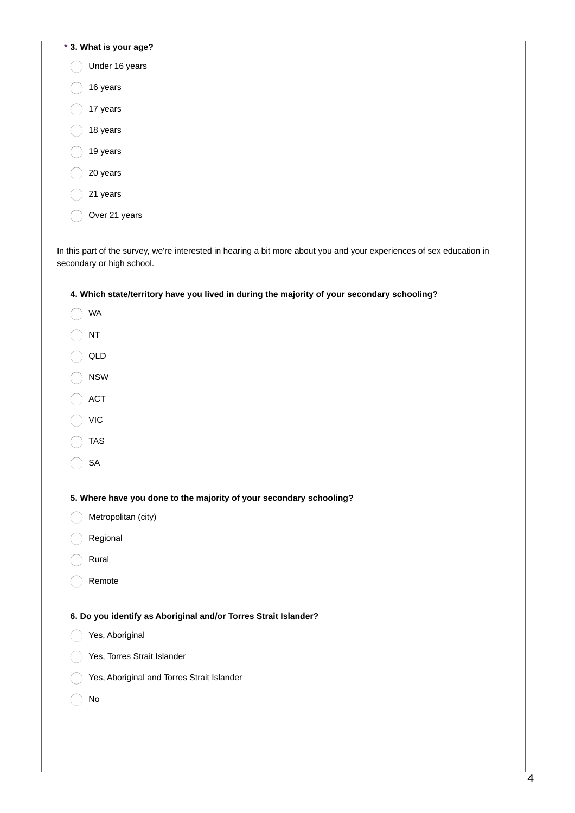| * 3. What is your age? |  |  |
|------------------------|--|--|
| Under 16 years         |  |  |
| 16 years               |  |  |
| 17 years               |  |  |
| 18 years               |  |  |
| 19 years               |  |  |
| 20 years               |  |  |
| 21 years               |  |  |
| Over 21 years          |  |  |
|                        |  |  |

In this part of the survey, we're interested in hearing a bit more about you and your experiences of sex education in secondary or high school.

### **4. Which state/territory have you lived in during the majority of your secondary schooling?**

- $\bigcap$  WA NT  $\bigcap$
- $\bigcirc$  QLD
- NSW
- $\big)$  ACT
- VIC
- TAS
- $\bigcap$  SA

**5. Where have you done to the majority of your secondary schooling?**

- Metropolitan (city)  $\left(\begin{array}{c}\right)$
- Regional
- Rural €
- Remote  $\sqrt{2}$

#### **6. Do you identify as Aboriginal and/or Torres Strait Islander?**

- $\bigcap$  Yes, Aboriginal
- Yes, Torres Strait Islander
- Yes, Aboriginal and Torres Strait Islander  $( )$
- No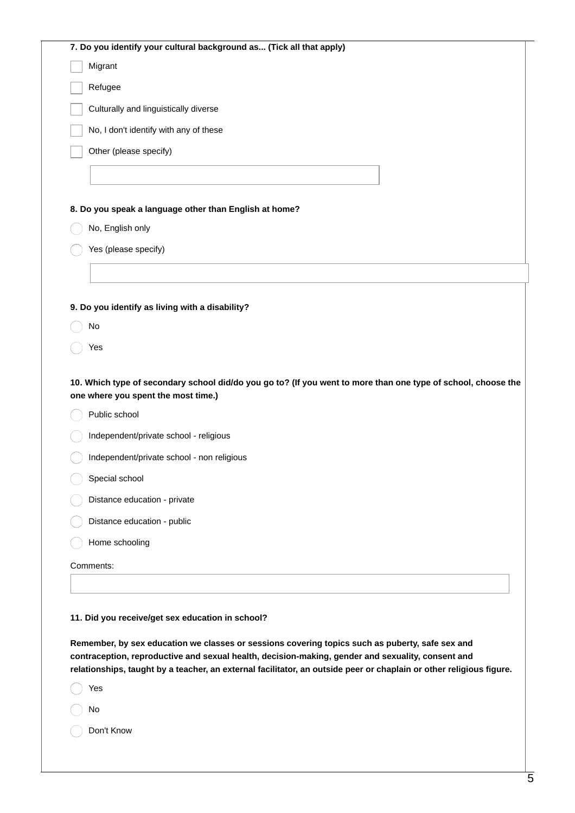**Remember, by sex education we classes or sessions covering topics such as puberty, safe sex and contraception, reproductive and sexual health, decision-making, gender and sexuality, consent and** relationships, taught by a teacher, an external facilitator, an outside peer or chaplain or other religious figure.

|  | <b>Yes</b> |
|--|------------|
|  | ٩          |

No

Don't Know  $\bigcap$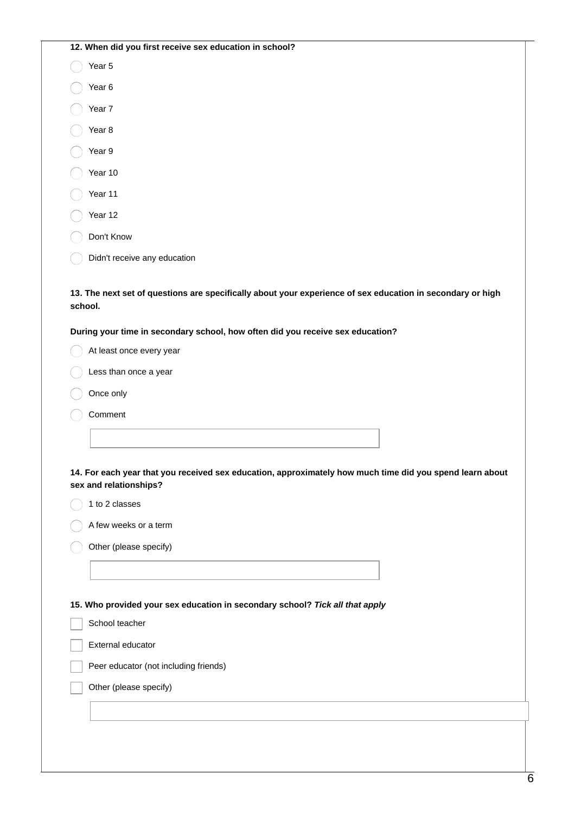| Year 5<br>Year 6<br>Year 7<br>Year 8<br>Year 9<br>Year 10<br>Year 11<br>Year 12<br>Don't Know<br>Didn't receive any education<br>13. The next set of questions are specifically about your experience of sex education in secondary or high<br>school.<br>During your time in secondary school, how often did you receive sex education?<br>At least once every year<br>Less than once a year<br>Once only<br>Comment<br>14. For each year that you received sex education, approximately how much time did you spend learn about<br>sex and relationships?<br>1 to 2 classes<br>A few weeks or a term<br>Other (please specify)<br>15. Who provided your sex education in secondary school? Tick all that apply<br>School teacher<br>External educator<br>Peer educator (not including friends)<br>Other (please specify) | 12. When did you first receive sex education in school? |
|----------------------------------------------------------------------------------------------------------------------------------------------------------------------------------------------------------------------------------------------------------------------------------------------------------------------------------------------------------------------------------------------------------------------------------------------------------------------------------------------------------------------------------------------------------------------------------------------------------------------------------------------------------------------------------------------------------------------------------------------------------------------------------------------------------------------------|---------------------------------------------------------|
|                                                                                                                                                                                                                                                                                                                                                                                                                                                                                                                                                                                                                                                                                                                                                                                                                            |                                                         |
|                                                                                                                                                                                                                                                                                                                                                                                                                                                                                                                                                                                                                                                                                                                                                                                                                            |                                                         |
|                                                                                                                                                                                                                                                                                                                                                                                                                                                                                                                                                                                                                                                                                                                                                                                                                            |                                                         |
|                                                                                                                                                                                                                                                                                                                                                                                                                                                                                                                                                                                                                                                                                                                                                                                                                            |                                                         |
|                                                                                                                                                                                                                                                                                                                                                                                                                                                                                                                                                                                                                                                                                                                                                                                                                            |                                                         |
|                                                                                                                                                                                                                                                                                                                                                                                                                                                                                                                                                                                                                                                                                                                                                                                                                            |                                                         |
|                                                                                                                                                                                                                                                                                                                                                                                                                                                                                                                                                                                                                                                                                                                                                                                                                            |                                                         |
|                                                                                                                                                                                                                                                                                                                                                                                                                                                                                                                                                                                                                                                                                                                                                                                                                            |                                                         |
|                                                                                                                                                                                                                                                                                                                                                                                                                                                                                                                                                                                                                                                                                                                                                                                                                            |                                                         |
|                                                                                                                                                                                                                                                                                                                                                                                                                                                                                                                                                                                                                                                                                                                                                                                                                            |                                                         |
|                                                                                                                                                                                                                                                                                                                                                                                                                                                                                                                                                                                                                                                                                                                                                                                                                            |                                                         |
|                                                                                                                                                                                                                                                                                                                                                                                                                                                                                                                                                                                                                                                                                                                                                                                                                            |                                                         |
|                                                                                                                                                                                                                                                                                                                                                                                                                                                                                                                                                                                                                                                                                                                                                                                                                            |                                                         |
|                                                                                                                                                                                                                                                                                                                                                                                                                                                                                                                                                                                                                                                                                                                                                                                                                            |                                                         |
|                                                                                                                                                                                                                                                                                                                                                                                                                                                                                                                                                                                                                                                                                                                                                                                                                            |                                                         |
|                                                                                                                                                                                                                                                                                                                                                                                                                                                                                                                                                                                                                                                                                                                                                                                                                            |                                                         |
|                                                                                                                                                                                                                                                                                                                                                                                                                                                                                                                                                                                                                                                                                                                                                                                                                            |                                                         |
|                                                                                                                                                                                                                                                                                                                                                                                                                                                                                                                                                                                                                                                                                                                                                                                                                            |                                                         |
|                                                                                                                                                                                                                                                                                                                                                                                                                                                                                                                                                                                                                                                                                                                                                                                                                            |                                                         |
|                                                                                                                                                                                                                                                                                                                                                                                                                                                                                                                                                                                                                                                                                                                                                                                                                            |                                                         |
|                                                                                                                                                                                                                                                                                                                                                                                                                                                                                                                                                                                                                                                                                                                                                                                                                            |                                                         |
|                                                                                                                                                                                                                                                                                                                                                                                                                                                                                                                                                                                                                                                                                                                                                                                                                            |                                                         |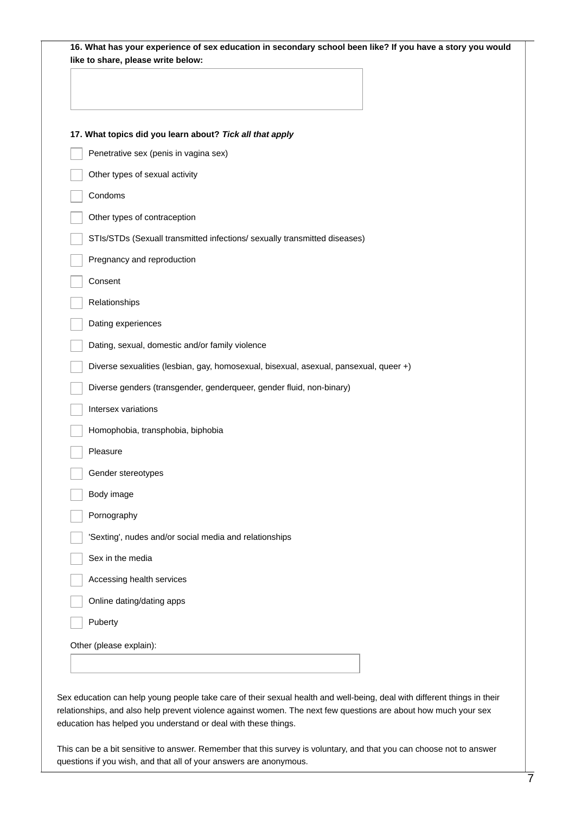| 17. What topics did you learn about? Tick all that apply                              |
|---------------------------------------------------------------------------------------|
| Penetrative sex (penis in vagina sex)                                                 |
| Other types of sexual activity                                                        |
| Condoms                                                                               |
| Other types of contraception                                                          |
| STIs/STDs (Sexuall transmitted infections/ sexually transmitted diseases)             |
| Pregnancy and reproduction                                                            |
| Consent                                                                               |
| Relationships                                                                         |
| Dating experiences                                                                    |
| Dating, sexual, domestic and/or family violence                                       |
| Diverse sexualities (lesbian, gay, homosexual, bisexual, asexual, pansexual, queer +) |
| Diverse genders (transgender, genderqueer, gender fluid, non-binary)                  |
| Intersex variations                                                                   |
| Homophobia, transphobia, biphobia                                                     |
| Pleasure                                                                              |
| Gender stereotypes                                                                    |
| Body image                                                                            |
| Pornography                                                                           |
| 'Sexting', nudes and/or social media and relationships                                |
| Sex in the media                                                                      |
| Accessing health services                                                             |
| Online dating/dating apps                                                             |
| Puberty                                                                               |
| Other (please explain):                                                               |
|                                                                                       |

Sex education can help young people take care of their sexual health and well-being, deal with different things in their relationships, and also help prevent violence against women. The next few questions are about how much your sex education has helped you understand or deal with these things.

This can be a bit sensitive to answer. Remember that this survey is voluntary, and that you can choose not to answer questions if you wish, and that all of your answers are anonymous.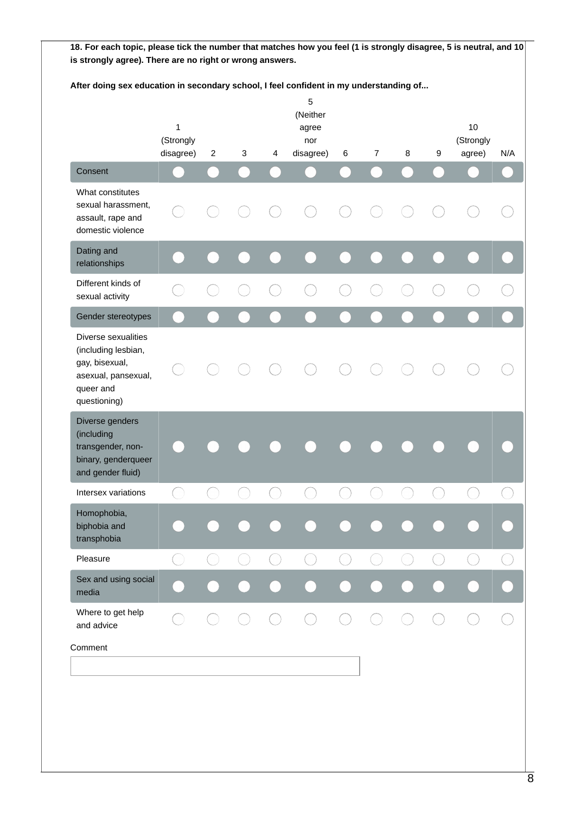18. For each topic, please tick the number that matches how you feel (1 is strongly disagree, 5 is neutral, and 10 **is strongly agree). There are no right or wrong answers. After doing sex education in secondary school, I feel confident in my understanding of...** 5 (Neither 1 agree 10 (Strongly nor (Strongly disagree) 2 3 4 disagree) 6 7 8 9 agree) N/A Consent What constitutes sexual harassment, assault, rape and domestic violence Dating and relationships Different kinds of sexual activity Gender stereotypes Diverse sexualities (including lesbian, gay, bisexual, asexual, pansexual, queer and questioning) Diverse genders (including transgender, nonbinary, genderqueer and gender fluid) Intersex variations  $\left(\begin{array}{c}\right)$  $\left(\ \right)$  $(\ )$  $(\ )$  $\bigcirc$  $\left(\begin{array}{c} \end{array}\right)$ Homophobia, biphobia and transphobia Pleasure Sex and using social media Where to get help and advice Comment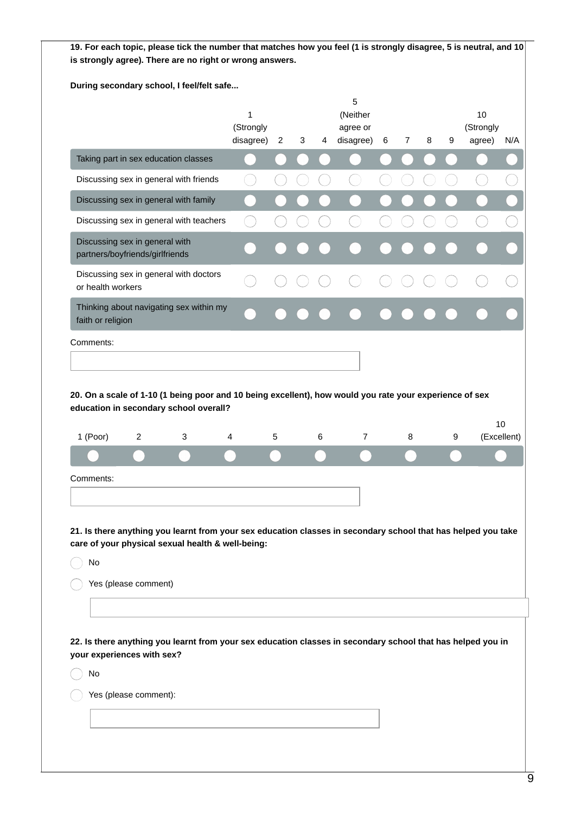19. For each topic, please tick the number that matches how you feel (1 is strongly disagree, 5 is neutral, and 10 **is strongly agree). There are no right or wrong answers.**

|                                                                                                                                                                                                                                                                                                                                                             | $1\,$<br>(Strongly<br>disagree) | 2 | 3 | 4 | 5<br>(Neither<br>agree or<br>disagree) | 6 | 7 | 8 | 9 | 10<br>(Strongly<br>agree) | N/A         |
|-------------------------------------------------------------------------------------------------------------------------------------------------------------------------------------------------------------------------------------------------------------------------------------------------------------------------------------------------------------|---------------------------------|---|---|---|----------------------------------------|---|---|---|---|---------------------------|-------------|
| Taking part in sex education classes                                                                                                                                                                                                                                                                                                                        |                                 |   |   |   |                                        |   |   |   |   |                           |             |
| Discussing sex in general with friends                                                                                                                                                                                                                                                                                                                      |                                 |   |   |   |                                        |   |   |   |   |                           |             |
| Discussing sex in general with family                                                                                                                                                                                                                                                                                                                       |                                 |   |   |   |                                        |   |   |   |   |                           |             |
| Discussing sex in general with teachers                                                                                                                                                                                                                                                                                                                     |                                 |   |   |   |                                        |   |   |   |   |                           |             |
| Discussing sex in general with<br>partners/boyfriends/girlfriends                                                                                                                                                                                                                                                                                           |                                 |   |   |   |                                        |   |   |   |   |                           |             |
| Discussing sex in general with doctors<br>or health workers                                                                                                                                                                                                                                                                                                 |                                 |   |   |   |                                        |   |   |   |   |                           |             |
| Thinking about navigating sex within my<br>faith or religion                                                                                                                                                                                                                                                                                                |                                 |   |   |   |                                        |   |   |   |   |                           |             |
| Comments:                                                                                                                                                                                                                                                                                                                                                   |                                 |   |   |   |                                        |   |   |   |   |                           |             |
| 20. On a scale of 1-10 (1 being poor and 10 being excellent), how would you rate your experience of sex<br>education in secondary school overall?                                                                                                                                                                                                           |                                 |   |   |   |                                        |   |   |   |   |                           |             |
|                                                                                                                                                                                                                                                                                                                                                             | 4                               | 5 |   | 6 | 7                                      |   |   |   | 9 |                           | 10          |
| 1 (Poor)<br>2<br>3                                                                                                                                                                                                                                                                                                                                          |                                 |   |   |   |                                        |   | 8 |   |   |                           |             |
|                                                                                                                                                                                                                                                                                                                                                             |                                 |   |   |   |                                        |   |   |   |   |                           |             |
| No                                                                                                                                                                                                                                                                                                                                                          |                                 |   |   |   |                                        |   |   |   |   |                           |             |
| Yes (please comment)                                                                                                                                                                                                                                                                                                                                        |                                 |   |   |   |                                        |   |   |   |   |                           |             |
|                                                                                                                                                                                                                                                                                                                                                             |                                 |   |   |   |                                        |   |   |   |   |                           |             |
| Comments:<br>21. Is there anything you learnt from your sex education classes in secondary school that has helped you take<br>care of your physical sexual health & well-being:<br>22. Is there anything you learnt from your sex education classes in secondary school that has helped you in<br>your experiences with sex?<br>No<br>Yes (please comment): |                                 |   |   |   |                                        |   |   |   |   |                           | (Excellent) |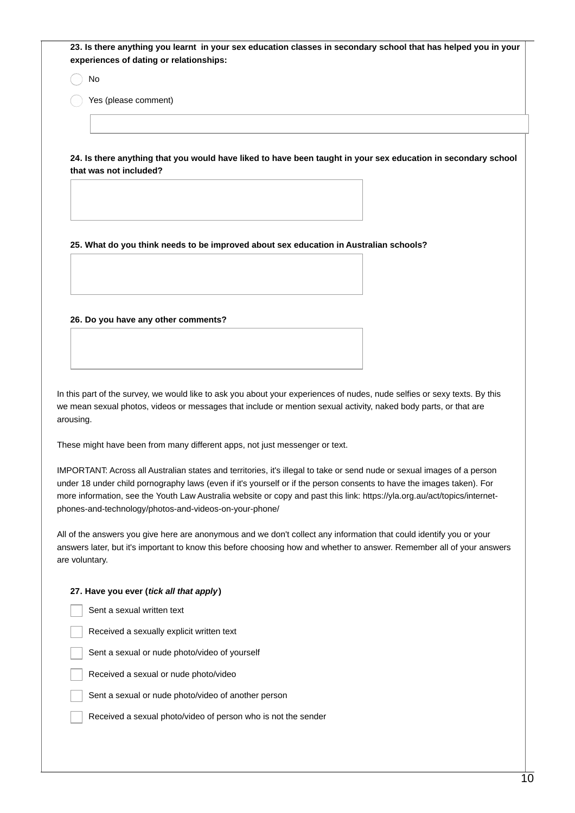23. Is there anything you learnt in your sex education classes in secondary school that has helped you in your **experiences of dating or relationships:**

No

Yes (please comment)

24. Is there anything that you would have liked to have been taught in your sex education in secondary school **that was not included?**

**25. What do you think needs to be improved about sex education in Australian schools?**

**26. Do you have any other comments?**

In this part of the survey, we would like to ask you about your experiences of nudes, nude selfies or sexy texts. By this we mean sexual photos, videos or messages that include or mention sexual activity, naked body parts, or that are arousing.

These might have been from many different apps, not just messenger or text.

IMPORTANT: Across all Australian states and territories, it's illegal to take or send nude or sexual images of a person under 18 under child pornography laws (even if it's yourself or if the person consents to have the images taken). For more information, see the Youth Law Australia website or copy and past this link: https://yla.org.au/act/topics/internetphones-and-technology/photos-and-videos-on-your-phone/

All of the answers you give here are anonymous and we don't collect any information that could identify you or your answers later, but it's important to know this before choosing how and whether to answer. Remember all of your answers are voluntary.

**27. Have you ever (***tick all that apply***)**

Sent a sexual written text Received a sexually explicit written text

Sent a sexual or nude photo/video of yourself

Received a sexual or nude photo/video

Sent a sexual or nude photo/video of another person

Received a sexual photo/video of person who is not the sender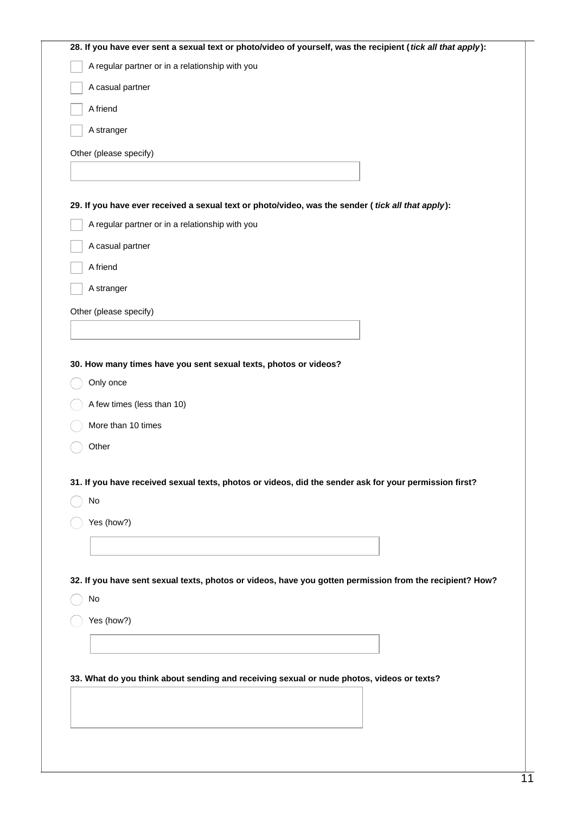| 28. If you have ever sent a sexual text or photo/video of yourself, was the recipient (tick all that apply): |
|--------------------------------------------------------------------------------------------------------------|
| A regular partner or in a relationship with you                                                              |
| A casual partner                                                                                             |
| A friend                                                                                                     |
| A stranger                                                                                                   |
| Other (please specify)                                                                                       |
|                                                                                                              |
| 29. If you have ever received a sexual text or photolvideo, was the sender (tick all that apply):            |
| A regular partner or in a relationship with you                                                              |
| A casual partner                                                                                             |
| A friend                                                                                                     |
|                                                                                                              |
| A stranger                                                                                                   |
| Other (please specify)                                                                                       |
|                                                                                                              |
| 30. How many times have you sent sexual texts, photos or videos?                                             |
| Only once                                                                                                    |
| A few times (less than 10)                                                                                   |
| More than 10 times                                                                                           |
| Other                                                                                                        |
|                                                                                                              |
| 31. If you have received sexual texts, photos or videos, did the sender ask for your permission first?       |
| No                                                                                                           |
| Yes (how?)                                                                                                   |
|                                                                                                              |
|                                                                                                              |
| 32. If you have sent sexual texts, photos or videos, have you gotten permission from the recipient? How?     |
| $\mathsf{No}$                                                                                                |
| Yes (how?)                                                                                                   |
|                                                                                                              |
|                                                                                                              |
| 33. What do you think about sending and receiving sexual or nude photos, videos or texts?                    |
|                                                                                                              |
|                                                                                                              |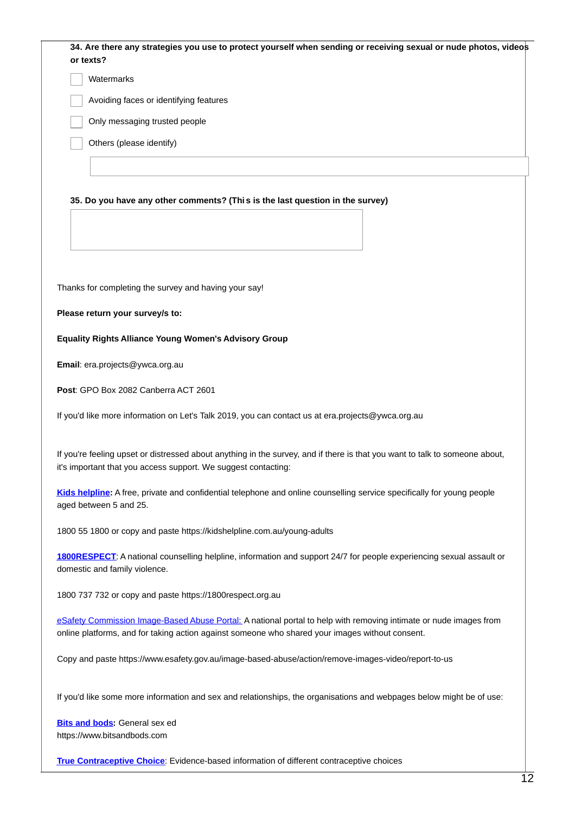| 34. Are there any strategies you use to protect yourself when sending or receiving sexual or nude photos, videos                                                                                                     |
|----------------------------------------------------------------------------------------------------------------------------------------------------------------------------------------------------------------------|
| or texts?                                                                                                                                                                                                            |
| Watermarks                                                                                                                                                                                                           |
| Avoiding faces or identifying features                                                                                                                                                                               |
| Only messaging trusted people                                                                                                                                                                                        |
| Others (please identify)                                                                                                                                                                                             |
|                                                                                                                                                                                                                      |
|                                                                                                                                                                                                                      |
| 35. Do you have any other comments? (This is the last question in the survey)                                                                                                                                        |
|                                                                                                                                                                                                                      |
|                                                                                                                                                                                                                      |
|                                                                                                                                                                                                                      |
| Thanks for completing the survey and having your say!                                                                                                                                                                |
| Please return your survey/s to:                                                                                                                                                                                      |
|                                                                                                                                                                                                                      |
| <b>Equality Rights Alliance Young Women's Advisory Group</b>                                                                                                                                                         |
| Email: era.projects@ywca.org.au                                                                                                                                                                                      |
| Post: GPO Box 2082 Canberra ACT 2601                                                                                                                                                                                 |
| If you'd like more information on Let's Talk 2019, you can contact us at era.projects@ywca.org.au                                                                                                                    |
| If you're feeling upset or distressed about anything in the survey, and if there is that you want to talk to someone about,<br>it's important that you access support. We suggest contacting:                        |
| Kids helpline: A free, private and confidential telephone and online counselling service specifically for young people<br>aged between 5 and 25.                                                                     |
| 1800 55 1800 or copy and paste https://kidshelpline.com.au/young-adults                                                                                                                                              |
| 1800RESPECT: A national counselling helpline, information and support 24/7 for people experiencing sexual assault or<br>domestic and family violence.                                                                |
| 1800 737 732 or copy and paste https://1800respect.org.au                                                                                                                                                            |
| eSafety Commission Image-Based Abuse Portal: A national portal to help with removing intimate or nude images from<br>online platforms, and for taking action against someone who shared your images without consent. |
| Copy and paste https://www.esafety.gov.au/image-based-abuse/action/remove-images-video/report-to-us                                                                                                                  |
| If you'd like some more information and sex and relationships, the organisations and webpages below might be of use:                                                                                                 |
| <b>Bits and bods:</b> General sex ed<br>https://www.bitsandbods.com                                                                                                                                                  |

**True [Contraceptive](https://truechoicecontraceptivechoice.com.au/) Choice**: Evidence-based information of different contraceptive choices